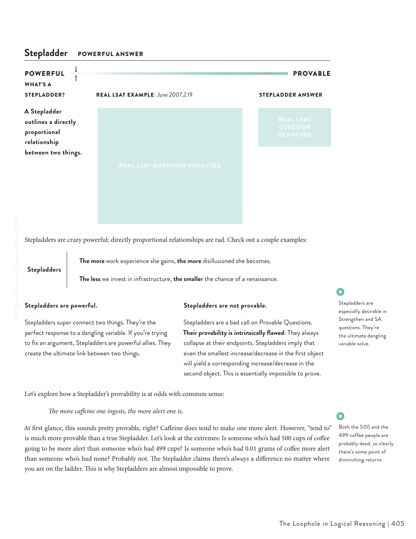## **Stepladder** POWERFUL ANSWER

| <b>POWERFUL</b><br><b>WHAT'S A</b><br><b>STEPLADDER?</b>            | REAL LSAT EXAMPLE: June 2007.2.19  | <b>PROVABLE</b><br><b>STEPLADDER ANSWER</b>     |
|---------------------------------------------------------------------|------------------------------------|-------------------------------------------------|
| A Stepladder<br>outlines a directly<br>proportional<br>relationship |                                    | <b>REAL LSAT</b><br>QUESTION<br><b>REDACTED</b> |
| between two things.                                                 | <b>REAL LSAT QUESTION REDACTED</b> |                                                 |

Stepladders are crazy powerful; directly proportional relationships are rad. Check out a couple examples:

**Stepladders**

**The more** work experience she gains, **the more** disillusioned she becomes.

**The less** we invest in infrastructure, **the smaller** the chance of a renaissance.

Stepladders super connect two things. They're the perfect response to a dangling variable. If you're trying to fix an argument, Stepladders are powerful allies. They create the ultimate link between two things.

## **Stepladders are powerful. Stepladders are not provable.**

Stepladders are a bad call on Provable Questions. **Their provability is intrinsically flawed**: They always collapse at their endpoints. Stepladders imply that even the smallest increase/decrease in the first object will yield a corresponding increase/decrease in the second object. This is essentially impossible to prove.

Let's explore how a Stepladder's provability is at odds with common sense:

*The more caffeine one ingests, the more alert one is.* 

At first glance, this sounds pretty provable, right? Caffeine does tend to make one more alert. However, "tend to" is much more provable than a true Stepladder. Let's look at the extremes: Is someone who's had 500 cups of coffee going to be more alert than someone who's had 499 cups? Is someone who's had 0.01 grams of coffee more alert than someone who's had none? Probably not. The Stepladder claims there's *always* a difference no matter where you are on the ladder. This is why Stepladders are almost impossible to prove.

# •

Stepladders are especially desirable in Strengthen and SA questions. They're the ultimate dangling variable solve.

Both the 500 and the 499 coffee people are probably dead, so clearly there's some point of diminishing returns.

•

 $\bullet$